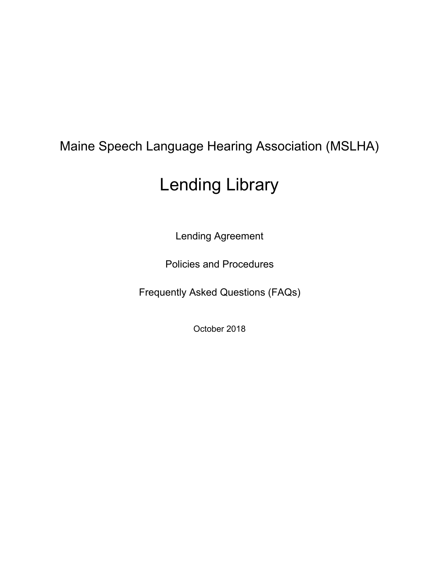# Maine Speech Language Hearing Association (MSLHA)

# Lending Library

Lending Agreement

Policies and Procedures

Frequently Asked Questions (FAQs)

October 2018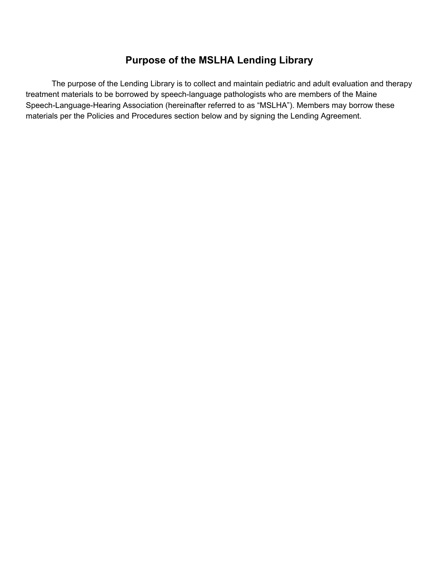# **Purpose of the MSLHA Lending Library**

The purpose of the Lending Library is to collect and maintain pediatric and adult evaluation and therapy treatment materials to be borrowed by speech-language pathologists who are members of the Maine Speech-Language-Hearing Association (hereinafter referred to as "MSLHA"). Members may borrow these materials per the Policies and Procedures section below and by signing the Lending Agreement.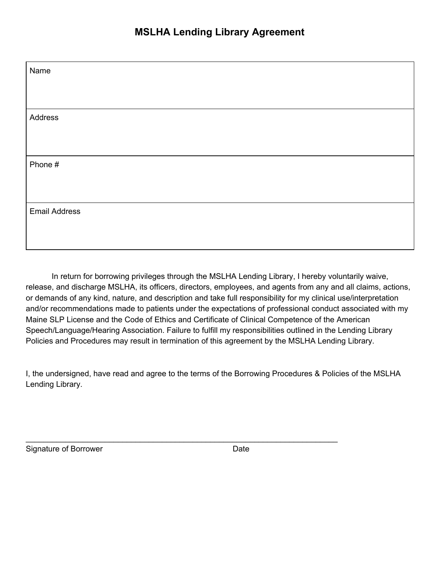| Name                 |  |
|----------------------|--|
|                      |  |
| Address              |  |
|                      |  |
|                      |  |
| Phone #              |  |
|                      |  |
| <b>Email Address</b> |  |
|                      |  |

In return for borrowing privileges through the MSLHA Lending Library, I hereby voluntarily waive, release, and discharge MSLHA, its officers, directors, employees, and agents from any and all claims, actions, or demands of any kind, nature, and description and take full responsibility for my clinical use/interpretation and/or recommendations made to patients under the expectations of professional conduct associated with my Maine SLP License and the Code of Ethics and Certificate of Clinical Competence of the American Speech/Language/Hearing Association. Failure to fulfill my responsibilities outlined in the Lending Library Policies and Procedures may result in termination of this agreement by the MSLHA Lending Library.

I, the undersigned, have read and agree to the terms of the Borrowing Procedures & Policies of the MSLHA Lending Library.

\_\_\_\_\_\_\_\_\_\_\_\_\_\_\_\_\_\_\_\_\_\_\_\_\_\_\_\_\_\_\_\_\_\_\_\_\_\_\_\_\_\_\_\_\_\_\_\_\_\_\_\_\_\_\_\_\_\_\_\_\_\_\_\_\_\_\_\_\_\_\_

Signature of Borrower Date Date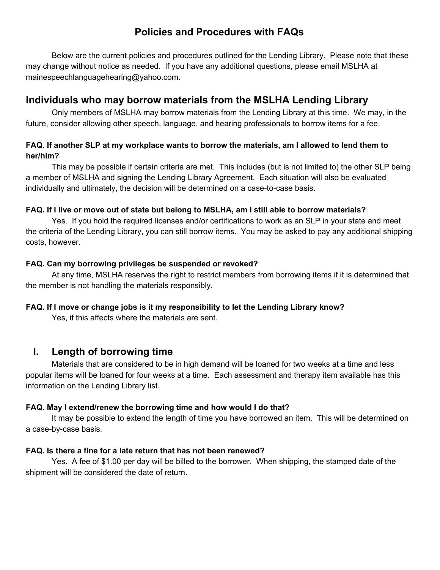# **Policies and Procedures with FAQs**

Below are the current policies and procedures outlined for the Lending Library. Please note that these may change without notice as needed. If you have any additional questions, please email MSLHA at mainespeechlanguagehearing@yahoo.com.

# **Individuals who may borrow materials from the MSLHA Lending Library**

Only members of MSLHA may borrow materials from the Lending Library at this time. We may, in the future, consider allowing other speech, language, and hearing professionals to borrow items for a fee.

# FAQ. If another SLP at my workplace wants to borrow the materials, am I allowed to lend them to **her/him?**

This may be possible if certain criteria are met. This includes (but is not limited to) the other SLP being a member of MSLHA and signing the Lending Library Agreement. Each situation will also be evaluated individually and ultimately, the decision will be determined on a case-to-case basis.

## FAQ. If I live or move out of state but belong to MSLHA, am I still able to borrow materials?

Yes. If you hold the required licenses and/or certifications to work as an SLP in your state and meet the criteria of the Lending Library, you can still borrow items. You may be asked to pay any additional shipping costs, however.

## **FAQ. Can my borrowing privileges be suspended or revoked?**

At any time, MSLHA reserves the right to restrict members from borrowing items if it is determined that the member is not handling the materials responsibly.

# **FAQ. If I move or change jobs is it my responsibility to let the Lending Library know?**

Yes, if this affects where the materials are sent.

# **I. Length of borrowing time**

Materials that are considered to be in high demand will be loaned for two weeks at a time and less popular items will be loaned for four weeks at a time. Each assessment and therapy item available has this information on the Lending Library list.

## **FAQ. May I extend/renew the borrowing time and how would I do that?**

It may be possible to extend the length of time you have borrowed an item. This will be determined on a case-by-case basis.

## **FAQ. Is there a fine for a late return that has not been renewed?**

Yes. A fee of \$1.00 per day will be billed to the borrower. When shipping, the stamped date of the shipment will be considered the date of return.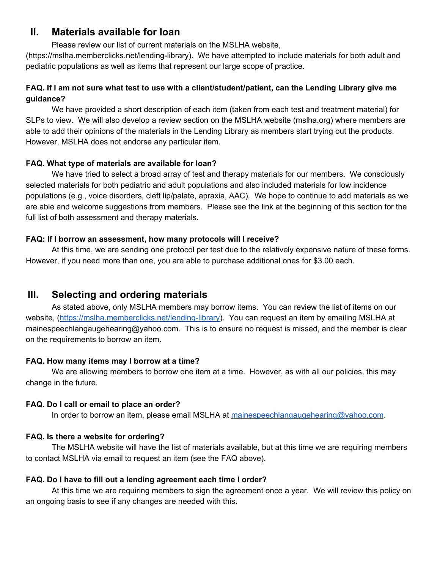# **II. Materials available for loan**

Please review our list of current materials on the MSLHA website,

(https://mslha.memberclicks.net/lending-library). We have attempted to include materials for both adult and pediatric populations as well as items that represent our large scope of practice.

# FAQ. If I am not sure what test to use with a client/student/patient, can the Lending Library give me **guidance?**

We have provided a short description of each item (taken from each test and treatment material) for SLPs to view. We will also develop a review section on the MSLHA website (mslha.org) where members are able to add their opinions of the materials in the Lending Library as members start trying out the products. However, MSLHA does not endorse any particular item.

# **FAQ. What type of materials are available for loan?**

We have tried to select a broad array of test and therapy materials for our members. We consciously selected materials for both pediatric and adult populations and also included materials for low incidence populations (e.g., voice disorders, cleft lip/palate, apraxia, AAC). We hope to continue to add materials as we are able and welcome suggestions from members. Please see the link at the beginning of this section for the full list of both assessment and therapy materials.

# **FAQ: If I borrow an assessment, how many protocols will I receive?**

At this time, we are sending one protocol per test due to the relatively expensive nature of these forms. However, if you need more than one, you are able to purchase additional ones for \$3.00 each.

# **III. Selecting and ordering materials**

As stated above, only MSLHA members may borrow items. You can review the list of items on our website, [\(https://mslha.memberclicks.net/lending-library](https://mslha.memberclicks.net/lending-library)). You can request an item by emailing MSLHA at mainespeechlangaugehearing@yahoo.com. This is to ensure no request is missed, and the member is clear on the requirements to borrow an item.

# **FAQ. How many items may I borrow at a time?**

We are allowing members to borrow one item at a time. However, as with all our policies, this may change in the future.

# **FAQ. Do I call or email to place an order?**

In order to borrow an item, please email MSLHA at [mainespeechlangaugehearing@yahoo.com](mailto:mainespeechlangaugehearing@yahoo.com).

# **FAQ. Is there a website for ordering?**

The MSLHA website will have the list of materials available, but at this time we are requiring members to contact MSLHA via email to request an item (see the FAQ above).

# **FAQ. Do I have to fill out a lending agreement each time I order?**

At this time we are requiring members to sign the agreement once a year. We will review this policy on an ongoing basis to see if any changes are needed with this.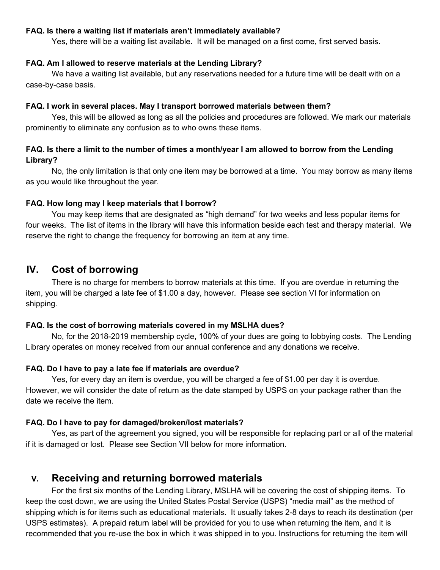#### **FAQ. Is there a waiting list if materials aren't immediately available?**

Yes, there will be a waiting list available. It will be managed on a first come, first served basis.

#### **FAQ. Am I allowed to reserve materials at the Lending Library?**

We have a waiting list available, but any reservations needed for a future time will be dealt with on a case-by-case basis.

#### **FAQ. I work in several places. May I transport borrowed materials between them?**

Yes, this will be allowed as long as all the policies and procedures are followed. We mark our materials prominently to eliminate any confusion as to who owns these items.

### FAQ. Is there a limit to the number of times a month/year I am allowed to borrow from the Lending **Library?**

No, the only limitation is that only one item may be borrowed at a time. You may borrow as many items as you would like throughout the year.

#### **FAQ. How long may I keep materials that I borrow?**

You may keep items that are designated as "high demand" for two weeks and less popular items for four weeks. The list of items in the library will have this information beside each test and therapy material. We reserve the right to change the frequency for borrowing an item at any time.

# **IV. Cost of borrowing**

There is no charge for members to borrow materials at this time. If you are overdue in returning the item, you will be charged a late fee of \$1.00 a day, however. Please see section VI for information on shipping.

#### **FAQ. Is the cost of borrowing materials covered in my MSLHA dues?**

No, for the 2018-2019 membership cycle, 100% of your dues are going to lobbying costs. The Lending Library operates on money received from our annual conference and any donations we receive.

#### **FAQ. Do I have to pay a late fee if materials are overdue?**

Yes, for every day an item is overdue, you will be charged a fee of \$1.00 per day it is overdue. However, we will consider the date of return as the date stamped by USPS on your package rather than the date we receive the item.

#### **FAQ. Do I have to pay for damaged/broken/lost materials?**

Yes, as part of the agreement you signed, you will be responsible for replacing part or all of the material if it is damaged or lost. Please see Section VII below for more information.

# **V. Receiving and returning borrowed materials**

For the first six months of the Lending Library, MSLHA will be covering the cost of shipping items. To keep the cost down, we are using the United States Postal Service (USPS) "media mail" as the method of shipping which is for items such as educational materials. It usually takes 2-8 days to reach its destination (per USPS estimates). A prepaid return label will be provided for you to use when returning the item, and it is recommended that you re-use the box in which it was shipped in to you. Instructions for returning the item will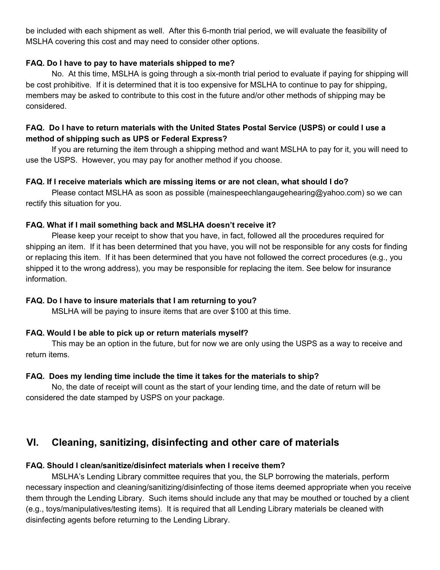be included with each shipment as well. After this 6-month trial period, we will evaluate the feasibility of MSLHA covering this cost and may need to consider other options.

### **FAQ. Do I have to pay to have materials shipped to me?**

No. At this time, MSLHA is going through a six-month trial period to evaluate if paying for shipping will be cost prohibitive. If it is determined that it is too expensive for MSLHA to continue to pay for shipping, members may be asked to contribute to this cost in the future and/or other methods of shipping may be considered.

# FAQ. Do I have to return materials with the United States Postal Service (USPS) or could I use a **method of shipping such as UPS or Federal Express?**

If you are returning the item through a shipping method and want MSLHA to pay for it, you will need to use the USPS. However, you may pay for another method if you choose.

#### **FAQ. If I receive materials which are missing items or are not clean, what should I do?**

Please contact MSLHA as soon as possible (mainespeechlangaugehearing@yahoo.com) so we can rectify this situation for you.

#### **FAQ. What if I mail something back and MSLHA doesn't receive it?**

Please keep your receipt to show that you have, in fact, followed all the procedures required for shipping an item. If it has been determined that you have, you will not be responsible for any costs for finding or replacing this item. If it has been determined that you have not followed the correct procedures (e.g., you shipped it to the wrong address), you may be responsible for replacing the item. See below for insurance information.

#### **FAQ. Do I have to insure materials that I am returning to you?**

MSLHA will be paying to insure items that are over \$100 at this time.

## **FAQ. Would I be able to pick up or return materials myself?**

This may be an option in the future, but for now we are only using the USPS as a way to receive and return items.

## **FAQ. Does my lending time include the time it takes for the materials to ship?**

No, the date of receipt will count as the start of your lending time, and the date of return will be considered the date stamped by USPS on your package.

# **VI. Cleaning, sanitizing, disinfecting and other care of materials**

## **FAQ. Should I clean/sanitize/disinfect materials when I receive them?**

MSLHA's Lending Library committee requires that you, the SLP borrowing the materials, perform necessary inspection and cleaning/sanitizing/disinfecting of those items deemed appropriate when you receive them through the Lending Library. Such items should include any that may be mouthed or touched by a client (e.g., toys/manipulatives/testing items). It is required that all Lending Library materials be cleaned with disinfecting agents before returning to the Lending Library.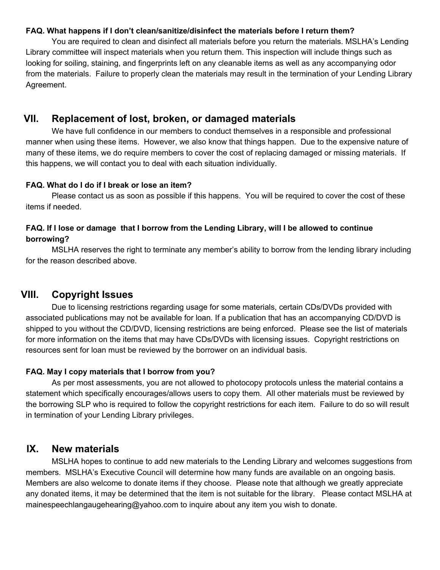#### **FAQ. What happens if I don't clean/sanitize/disinfect the materials before I return them?**

You are required to clean and disinfect all materials before you return the materials. MSLHA's Lending Library committee will inspect materials when you return them. This inspection will include things such as looking for soiling, staining, and fingerprints left on any cleanable items as well as any accompanying odor from the materials. Failure to properly clean the materials may result in the termination of your Lending Library Agreement.

# **VII. Replacement of lost, broken, or damaged materials**

We have full confidence in our members to conduct themselves in a responsible and professional manner when using these items. However, we also know that things happen. Due to the expensive nature of many of these items, we do require members to cover the cost of replacing damaged or missing materials. If this happens, we will contact you to deal with each situation individually.

#### **FAQ. What do I do if I break or lose an item?**

Please contact us as soon as possible if this happens. You will be required to cover the cost of these items if needed.

# FAQ. If I lose or damage that I borrow from the Lending Library, will I be allowed to continue **borrowing?**

MSLHA reserves the right to terminate any member's ability to borrow from the lending library including for the reason described above.

# **VIII. Copyright Issues**

Due to licensing restrictions regarding usage for some materials, certain CDs/DVDs provided with associated publications may not be available for loan. If a publication that has an accompanying CD/DVD is shipped to you without the CD/DVD, licensing restrictions are being enforced. Please see the list of materials for more information on the items that may have CDs/DVDs with licensing issues. Copyright restrictions on resources sent for loan must be reviewed by the borrower on an individual basis.

#### **FAQ. May I copy materials that I borrow from you?**

As per most assessments, you are not allowed to photocopy protocols unless the material contains a statement which specifically encourages/allows users to copy them. All other materials must be reviewed by the borrowing SLP who is required to follow the copyright restrictions for each item. Failure to do so will result in termination of your Lending Library privileges.

# **IX. New materials**

MSLHA hopes to continue to add new materials to the Lending Library and welcomes suggestions from members. MSLHA's Executive Council will determine how many funds are available on an ongoing basis. Members are also welcome to donate items if they choose. Please note that although we greatly appreciate any donated items, it may be determined that the item is not suitable for the library. Please contact MSLHA at mainespeechlangaugehearing@yahoo.com to inquire about any item you wish to donate.